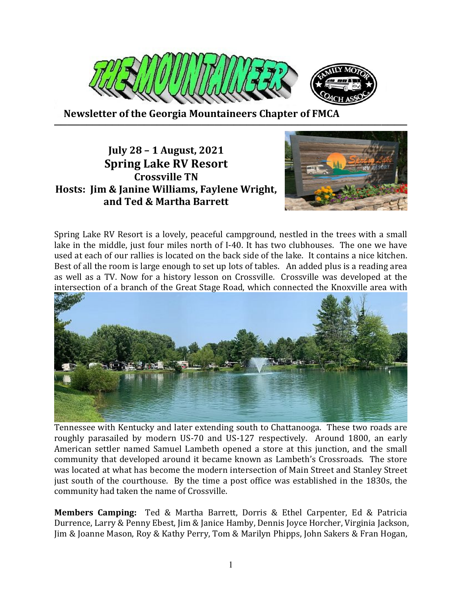

 **Newsletter of the Georgia Mountaineers Chapter of FMCA ───────────────────────────────────────────────────────**

## **July 28 – 1 August, 2021 Spring Lake RV Resort Crossville TN Hosts: Jim & Janine Williams, Faylene Wright, and Ted & Martha Barrett**



Spring Lake RV Resort is a lovely, peaceful campground, nestled in the trees with a small lake in the middle, just four miles north of I-40. It has two clubhouses. The one we have used at each of our rallies is located on the back side of the lake. It contains a nice kitchen. Best of all the room is large enough to set up lots of tables. An added plus is a reading area as well as a TV. Now for a history lesson on Crossville. Crossville was developed at the intersection of a branch of the Great Stage Road, which connected the Knoxville area with



Tennessee with Kentucky and later extending south to Chattanooga. These two roads are roughly parasailed by modern US-70 and US-127 respectively. Around 1800, an early American settler named Samuel Lambeth opened a store at this junction, and the small community that developed around it became known as Lambeth's Crossroads. The store was located at what has become the modern intersection of Main Street and Stanley Street just south of the courthouse. By the time a post office was established in the 1830s, the community had taken the name of Crossville.

**Members Camping:** Ted & Martha Barrett, Dorris & Ethel Carpenter, Ed & Patricia Durrence, Larry & Penny Ebest, Jim & Janice Hamby, Dennis Joyce Horcher, Virginia Jackson, Jim & Joanne Mason, Roy & Kathy Perry, Tom & Marilyn Phipps, John Sakers & Fran Hogan,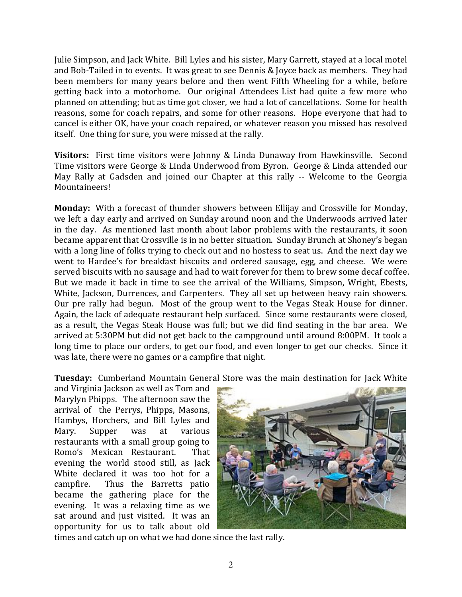Julie Simpson, and Jack White. Bill Lyles and his sister, Mary Garrett, stayed at a local motel and Bob-Tailed in to events. It was great to see Dennis & Joyce back as members. They had been members for many years before and then went Fifth Wheeling for a while, before getting back into a motorhome. Our original Attendees List had quite a few more who planned on attending; but as time got closer, we had a lot of cancellations. Some for health reasons, some for coach repairs, and some for other reasons. Hope everyone that had to cancel is either OK, have your coach repaired, or whatever reason you missed has resolved itself. One thing for sure, you were missed at the rally.

**Visitors:** First time visitors were Johnny & Linda Dunaway from Hawkinsville. Second Time visitors were George & Linda Underwood from Byron. George & Linda attended our May Rally at Gadsden and joined our Chapter at this rally -- Welcome to the Georgia Mountaineers!

**Monday:** With a forecast of thunder showers between Ellijay and Crossville for Monday, we left a day early and arrived on Sunday around noon and the Underwoods arrived later in the day. As mentioned last month about labor problems with the restaurants, it soon became apparent that Crossville is in no better situation. Sunday Brunch at Shoney's began with a long line of folks trying to check out and no hostess to seat us. And the next day we went to Hardee's for breakfast biscuits and ordered sausage, egg, and cheese. We were served biscuits with no sausage and had to wait forever for them to brew some decaf coffee. But we made it back in time to see the arrival of the Williams, Simpson, Wright, Ebests, White, Jackson, Durrences, and Carpenters. They all set up between heavy rain showers. Our pre rally had begun. Most of the group went to the Vegas Steak House for dinner. Again, the lack of adequate restaurant help surfaced. Since some restaurants were closed, as a result, the Vegas Steak House was full; but we did find seating in the bar area. We arrived at 5:30PM but did not get back to the campground until around 8:00PM. It took a long time to place our orders, to get our food, and even longer to get our checks. Since it was late, there were no games or a campfire that night.

**Tuesday:** Cumberland Mountain General Store was the main destination for Jack White

and Virginia Jackson as well as Tom and Marylyn Phipps. The afternoon saw the arrival of the Perrys, Phipps, Masons, Hambys, Horchers, and Bill Lyles and Mary. Supper was at various restaurants with a small group going to Romo's Mexican Restaurant. That evening the world stood still, as Jack White declared it was too hot for a campfire. Thus the Barretts patio became the gathering place for the evening. It was a relaxing time as we sat around and just visited. It was an opportunity for us to talk about old



times and catch up on what we had done since the last rally.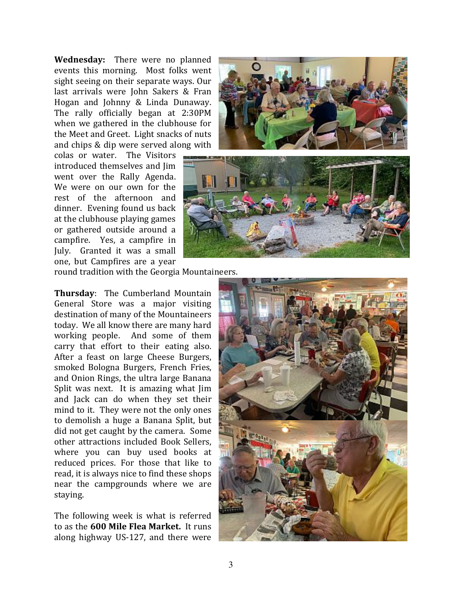**Wednesday:** There were no planned events this morning. Most folks went sight seeing on their separate ways. Our last arrivals were John Sakers & Fran Hogan and Johnny & Linda Dunaway. The rally officially began at 2:30PM when we gathered in the clubhouse for the Meet and Greet. Light snacks of nuts and chips & dip were served along with

colas or water. The Visitors introduced themselves and Jim went over the Rally Agenda. We were on our own for the rest of the afternoon and dinner. Evening found us back at the clubhouse playing games or gathered outside around a campfire. Yes, a campfire in July. Granted it was a small one, but Campfires are a year





round tradition with the Georgia Mountaineers.

**Thursday**: The Cumberland Mountain General Store was a major visiting destination of many of the Mountaineers today. We all know there are many hard working people. And some of them carry that effort to their eating also. After a feast on large Cheese Burgers, smoked Bologna Burgers, French Fries, and Onion Rings, the ultra large Banana Split was next. It is amazing what Jim and Jack can do when they set their mind to it. They were not the only ones to demolish a huge a Banana Split, but did not get caught by the camera. Some other attractions included Book Sellers, where you can buy used books at reduced prices. For those that like to read, it is always nice to find these shops near the campgrounds where we are staying.

The following week is what is referred to as the **600 Mile Flea Market.** It runs along highway US-127, and there were

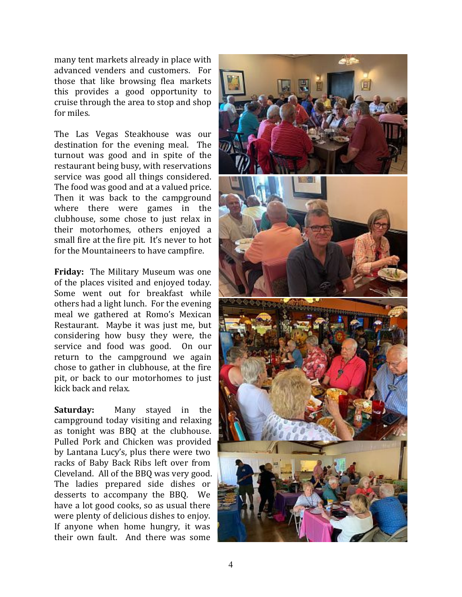many tent markets already in place with advanced venders and customers. For those that like browsing flea markets this provides a good opportunity to cruise through the area to stop and shop for miles.

The Las Vegas Steakhouse was our destination for the evening meal. The turnout was good and in spite of the restaurant being busy, with reservations service was good all things considered. The food was good and at a valued price. Then it was back to the campground where there were games in the clubhouse, some chose to just relax in their motorhomes, others enjoyed a small fire at the fire pit. It's never to hot for the Mountaineers to have campfire.

**Friday:** The Military Museum was one of the places visited and enjoyed today. Some went out for breakfast while others had a light lunch. For the evening meal we gathered at Romo's Mexican Restaurant. Maybe it was just me, but considering how busy they were, the service and food was good. On our return to the campground we again chose to gather in clubhouse, at the fire pit, or back to our motorhomes to just kick back and relax.

**Saturday:** Many stayed in the campground today visiting and relaxing as tonight was BBQ at the clubhouse. Pulled Pork and Chicken was provided by Lantana Lucy's, plus there were two racks of Baby Back Ribs left over from Cleveland. All of the BBQ was very good. The ladies prepared side dishes or desserts to accompany the BBQ. We have a lot good cooks, so as usual there were plenty of delicious dishes to enjoy. If anyone when home hungry, it was their own fault. And there was some